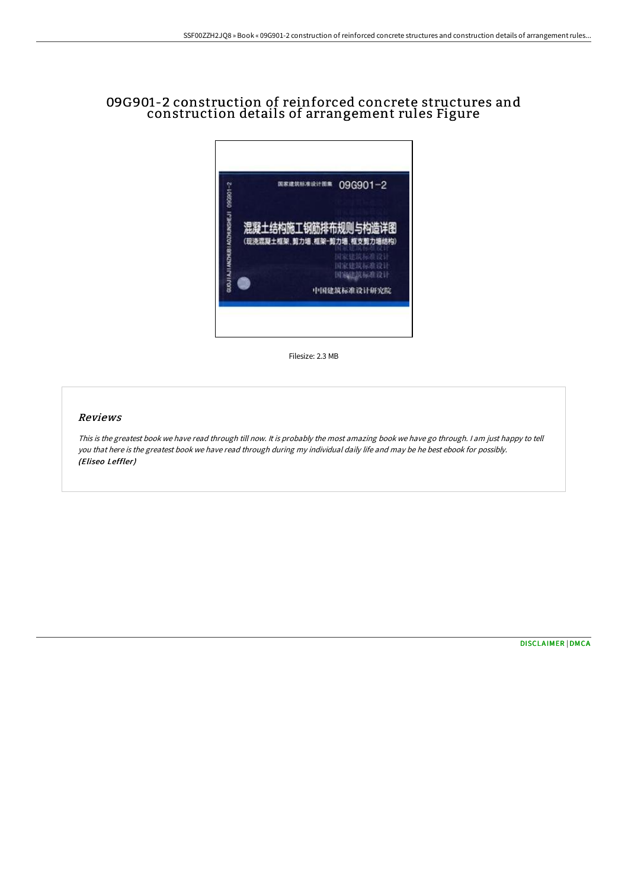# 09G901-2 construction of reinforced concrete structures and construction details of arrangement rules Figure



Filesize: 2.3 MB

#### Reviews

This is the greatest book we have read through till now. It is probably the most amazing book we have go through. I am just happy to tell you that here is the greatest book we have read through during my individual daily life and may be he best ebook for possibly. (Eliseo Leffler)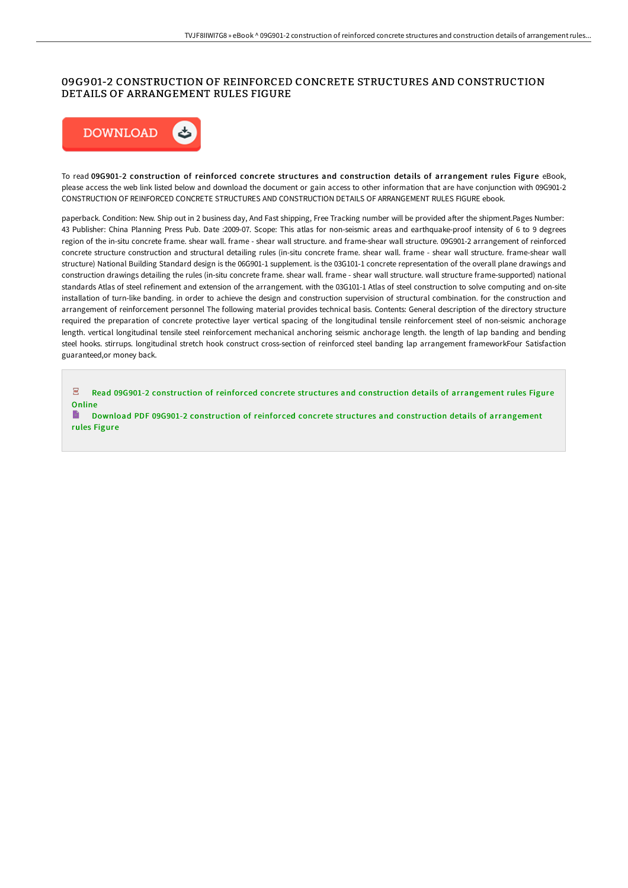## 09G901-2 CONSTRUCTION OF REINFORCED CONCRETE STRUCTURES AND CONSTRUCTION DETAILS OF ARRANGEMENT RULES FIGURE



To read 09G901-2 construction of reinforced concrete structures and construction details of arrangement rules Figure eBook, please access the web link listed below and download the document or gain access to other information that are have conjunction with 09G901-2 CONSTRUCTION OF REINFORCED CONCRETE STRUCTURES AND CONSTRUCTION DETAILS OF ARRANGEMENT RULES FIGURE ebook.

paperback. Condition: New. Ship out in 2 business day, And Fast shipping, Free Tracking number will be provided after the shipment.Pages Number: 43 Publisher: China Planning Press Pub. Date :2009-07. Scope: This atlas for non-seismic areas and earthquake-proof intensity of 6 to 9 degrees region of the in-situ concrete frame. shear wall. frame - shear wall structure. and frame-shear wall structure. 09G901-2 arrangement of reinforced concrete structure construction and structural detailing rules (in-situ concrete frame. shear wall. frame - shear wall structure. frame-shear wall structure) National Building Standard design is the 06G901-1 supplement. is the 03G101-1 concrete representation of the overall plane drawings and construction drawings detailing the rules (in-situ concrete frame. shear wall. frame - shear wall structure. wall structure frame-supported) national standards Atlas of steel refinement and extension of the arrangement. with the 03G101-1 Atlas of steel construction to solve computing and on-site installation of turn-like banding. in order to achieve the design and construction supervision of structural combination. for the construction and arrangement of reinforcement personnel The following material provides technical basis. Contents: General description of the directory structure required the preparation of concrete protective layer vertical spacing of the longitudinal tensile reinforcement steel of non-seismic anchorage length. vertical longitudinal tensile steel reinforcement mechanical anchoring seismic anchorage length. the length of lap banding and bending steel hooks. stirrups. longitudinal stretch hook construct cross-section of reinforced steel banding lap arrangement frameworkFour Satisfaction guaranteed,or money back.

 $\overline{\mathrm{pos}}$ Read 09G901-2 construction of reinforced concrete structures and construction details of [arrangement](http://albedo.media/09g901-2-construction-of-reinforced-concrete-str.html) rules Figure Online

B Download PDF 09G901-2 construction of reinforced concrete structures and construction details of [arrangement](http://albedo.media/09g901-2-construction-of-reinforced-concrete-str.html) rules Figure